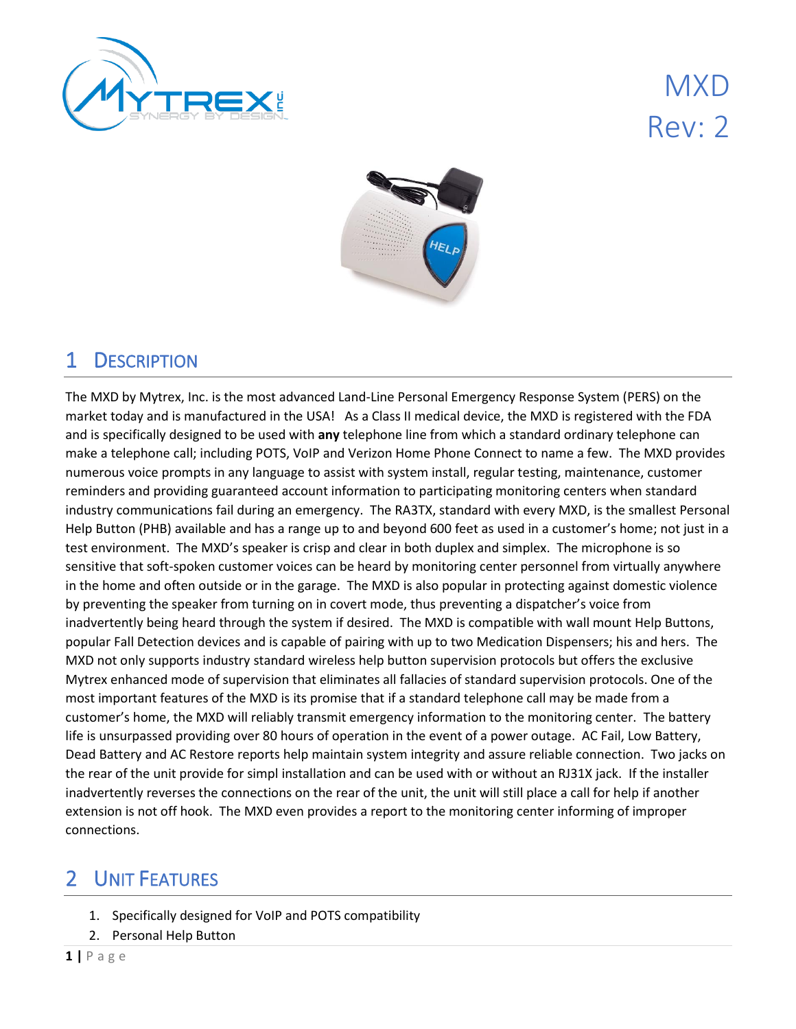

MXD Rev: 2



### 1 DESCRIPTION

The MXD by Mytrex, Inc. is the most advanced Land-Line Personal Emergency Response System (PERS) on the market today and is manufactured in the USA! As a Class II medical device, the MXD is registered with the FDA and is specifically designed to be used with **any** telephone line from which a standard ordinary telephone can make a telephone call; including POTS, VoIP and Verizon Home Phone Connect to name a few. The MXD provides numerous voice prompts in any language to assist with system install, regular testing, maintenance, customer reminders and providing guaranteed account information to participating monitoring centers when standard industry communications fail during an emergency. The RA3TX, standard with every MXD, is the smallest Personal Help Button (PHB) available and has a range up to and beyond 600 feet as used in a customer's home; not just in a test environment. The MXD's speaker is crisp and clear in both duplex and simplex. The microphone is so sensitive that soft-spoken customer voices can be heard by monitoring center personnel from virtually anywhere in the home and often outside or in the garage. The MXD is also popular in protecting against domestic violence by preventing the speaker from turning on in covert mode, thus preventing a dispatcher's voice from inadvertently being heard through the system if desired. The MXD is compatible with wall mount Help Buttons, popular Fall Detection devices and is capable of pairing with up to two Medication Dispensers; his and hers. The MXD not only supports industry standard wireless help button supervision protocols but offers the exclusive Mytrex enhanced mode of supervision that eliminates all fallacies of standard supervision protocols. One of the most important features of the MXD is its promise that if a standard telephone call may be made from a customer's home, the MXD will reliably transmit emergency information to the monitoring center. The battery life is unsurpassed providing over 80 hours of operation in the event of a power outage. AC Fail, Low Battery, Dead Battery and AC Restore reports help maintain system integrity and assure reliable connection. Two jacks on the rear of the unit provide for simpl installation and can be used with or without an RJ31X jack. If the installer inadvertently reverses the connections on the rear of the unit, the unit will still place a call for help if another extension is not off hook. The MXD even provides a report to the monitoring center informing of improper connections.

### 2 UNIT FEATURES

- 1. Specifically designed for VoIP and POTS compatibility
- 2. Personal Help Button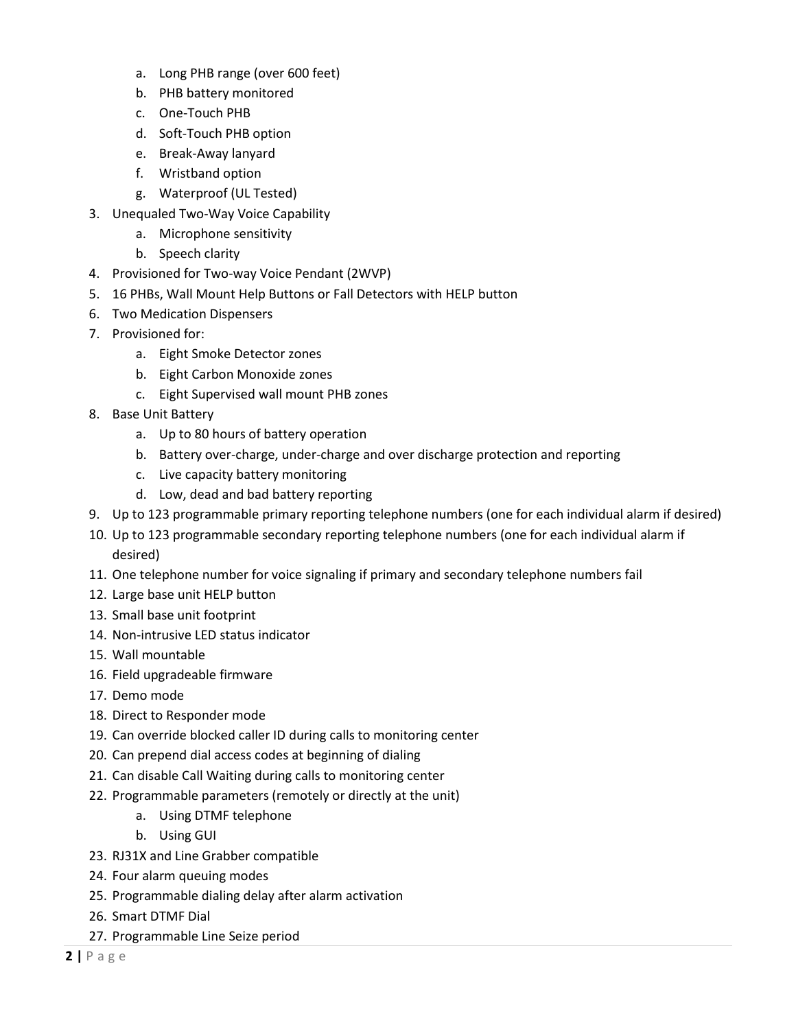- a. Long PHB range (over 600 feet)
- b. PHB battery monitored
- c. One-Touch PHB
- d. Soft-Touch PHB option
- e. Break-Away lanyard
- f. Wristband option
- g. Waterproof (UL Tested)
- 3. Unequaled Two-Way Voice Capability
	- a. Microphone sensitivity
	- b. Speech clarity
- 4. Provisioned for Two-way Voice Pendant (2WVP)
- 5. 16 PHBs, Wall Mount Help Buttons or Fall Detectors with HELP button
- 6. Two Medication Dispensers
- 7. Provisioned for:
	- a. Eight Smoke Detector zones
	- b. Eight Carbon Monoxide zones
	- c. Eight Supervised wall mount PHB zones
- 8. Base Unit Battery
	- a. Up to 80 hours of battery operation
	- b. Battery over-charge, under-charge and over discharge protection and reporting
	- c. Live capacity battery monitoring
	- d. Low, dead and bad battery reporting
- 9. Up to 123 programmable primary reporting telephone numbers (one for each individual alarm if desired)
- 10. Up to 123 programmable secondary reporting telephone numbers (one for each individual alarm if desired)
- 11. One telephone number for voice signaling if primary and secondary telephone numbers fail
- 12. Large base unit HELP button
- 13. Small base unit footprint
- 14. Non-intrusive LED status indicator
- 15. Wall mountable
- 16. Field upgradeable firmware
- 17. Demo mode
- 18. Direct to Responder mode
- 19. Can override blocked caller ID during calls to monitoring center
- 20. Can prepend dial access codes at beginning of dialing
- 21. Can disable Call Waiting during calls to monitoring center
- 22. Programmable parameters (remotely or directly at the unit)
	- a. Using DTMF telephone
	- b. Using GUI
- 23. RJ31X and Line Grabber compatible
- 24. Four alarm queuing modes
- 25. Programmable dialing delay after alarm activation
- 26. Smart DTMF Dial
- 27. Programmable Line Seize period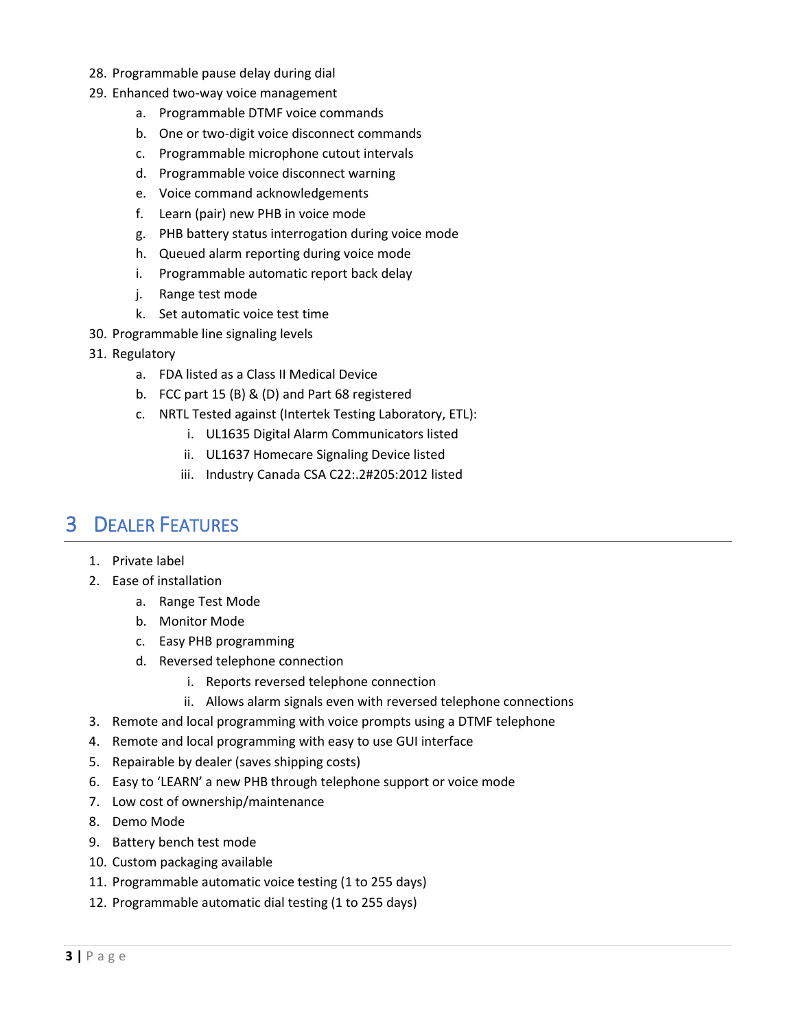- 28. Programmable pause delay during dial
- 29. Enhanced two-way voice management
	- a. Programmable DTMF voice commands
	- b. One or two-digit voice disconnect commands
	- c. Programmable microphone cutout intervals
	- d. Programmable voice disconnect warning
	- e. Voice command acknowledgements
	- f. Learn (pair) new PHB in voice mode
	- g. PHB battery status interrogation during voice mode
	- h. Queued alarm reporting during voice mode
	- i. Programmable automatic report back delay
	- j. Range test mode
	- k. Set automatic voice test time
- 30. Programmable line signaling levels
- 31. Regulatory
	- a. FDA listed as a Class II Medical Device
	- b. FCC part 15 (B) & (D) and Part 68 registered
	- c. NRTL Tested against (Intertek Testing Laboratory, ETL):
		- i. UL1635 Digital Alarm Communicators listed
		- ii. UL1637 Homecare Signaling Device listed
		- iii. Industry Canada CSA C22:.2#205:2012 listed

#### 3 DEALER FEATURES

- 1. Private label
- 2. Ease of installation
	- a. Range Test Mode
	- b. Monitor Mode
	- c. Easy PHB programming
	- d. Reversed telephone connection
		- i. Reports reversed telephone connection
		- ii. Allows alarm signals even with reversed telephone connections
- 3. Remote and local programming with voice prompts using a DTMF telephone
- 4. Remote and local programming with easy to use GUI interface
- 5. Repairable by dealer (saves shipping costs)
- 6. Easy to 'LEARN' a new PHB through telephone support or voice mode
- 7. Low cost of ownership/maintenance
- 8. Demo Mode
- 9. Battery bench test mode
- 10. Custom packaging available
- 11. Programmable automatic voice testing (1 to 255 days)
- 12. Programmable automatic dial testing (1 to 255 days)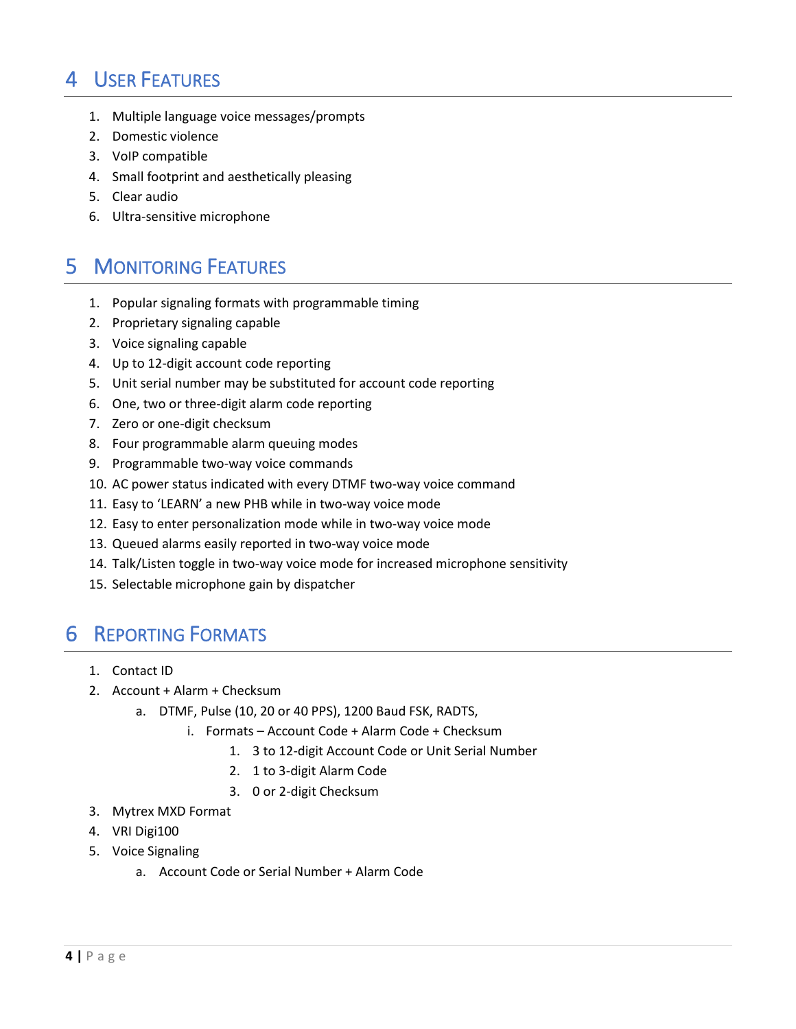### 4 USER FEATURES

- 1. Multiple language voice messages/prompts
- 2. Domestic violence
- 3. VoIP compatible
- 4. Small footprint and aesthetically pleasing
- 5. Clear audio
- 6. Ultra-sensitive microphone

### 5 MONITORING FEATURES

- 1. Popular signaling formats with programmable timing
- 2. Proprietary signaling capable
- 3. Voice signaling capable
- 4. Up to 12-digit account code reporting
- 5. Unit serial number may be substituted for account code reporting
- 6. One, two or three-digit alarm code reporting
- 7. Zero or one-digit checksum
- 8. Four programmable alarm queuing modes
- 9. Programmable two-way voice commands
- 10. AC power status indicated with every DTMF two-way voice command
- 11. Easy to 'LEARN' a new PHB while in two-way voice mode
- 12. Easy to enter personalization mode while in two-way voice mode
- 13. Queued alarms easily reported in two-way voice mode
- 14. Talk/Listen toggle in two-way voice mode for increased microphone sensitivity
- 15. Selectable microphone gain by dispatcher

#### 6 REPORTING FORMATS

- 1. Contact ID
- 2. Account + Alarm + Checksum
	- a. DTMF, Pulse (10, 20 or 40 PPS), 1200 Baud FSK, RADTS,
		- i. Formats Account Code + Alarm Code + Checksum
			- 1. 3 to 12-digit Account Code or Unit Serial Number
			- 2. 1 to 3-digit Alarm Code
			- 3. 0 or 2-digit Checksum
- 3. Mytrex MXD Format
- 4. VRI Digi100
- 5. Voice Signaling
	- a. Account Code or Serial Number + Alarm Code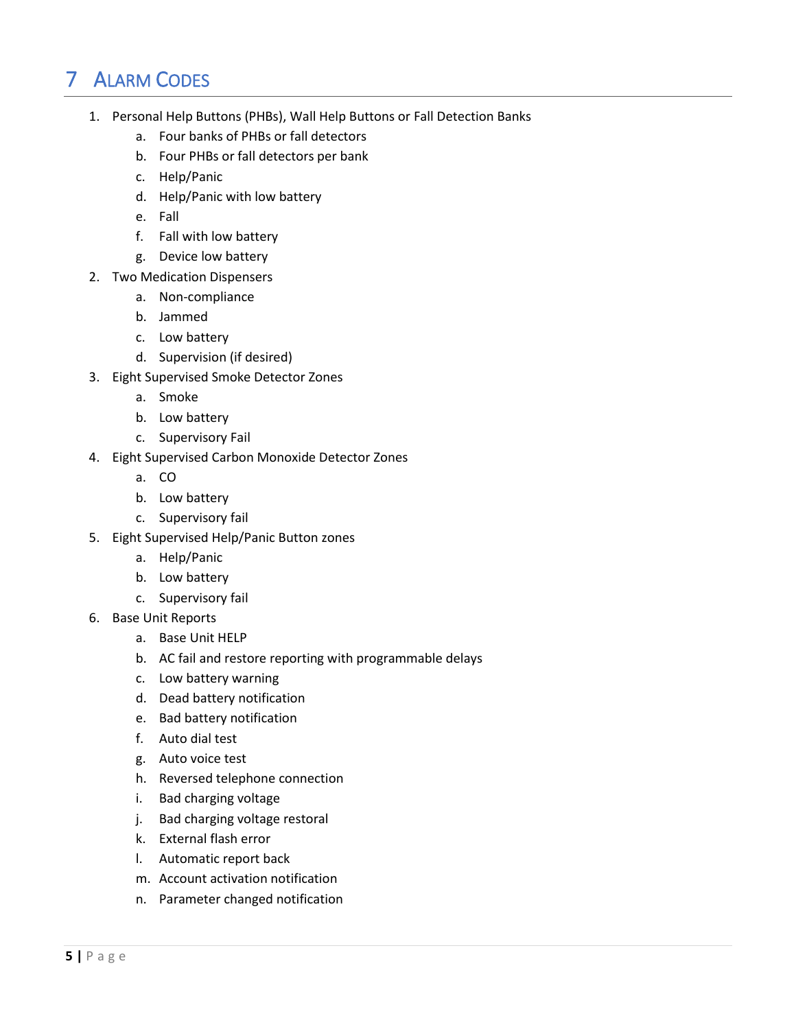# 7 ALARM CODES

- 1. Personal Help Buttons (PHBs), Wall Help Buttons or Fall Detection Banks
	- a. Four banks of PHBs or fall detectors
	- b. Four PHBs or fall detectors per bank
	- c. Help/Panic
	- d. Help/Panic with low battery
	- e. Fall
	- f. Fall with low battery
	- g. Device low battery
- 2. Two Medication Dispensers
	- a. Non-compliance
	- b. Jammed
	- c. Low battery
	- d. Supervision (if desired)
- 3. Eight Supervised Smoke Detector Zones
	- a. Smoke
	- b. Low battery
	- c. Supervisory Fail
- 4. Eight Supervised Carbon Monoxide Detector Zones
	- a. CO
	- b. Low battery
	- c. Supervisory fail
- 5. Eight Supervised Help/Panic Button zones
	- a. Help/Panic
	- b. Low battery
	- c. Supervisory fail
- 6. Base Unit Reports
	- a. Base Unit HELP
	- b. AC fail and restore reporting with programmable delays
	- c. Low battery warning
	- d. Dead battery notification
	- e. Bad battery notification
	- f. Auto dial test
	- g. Auto voice test
	- h. Reversed telephone connection
	- i. Bad charging voltage
	- j. Bad charging voltage restoral
	- k. External flash error
	- l. Automatic report back
	- m. Account activation notification
	- n. Parameter changed notification